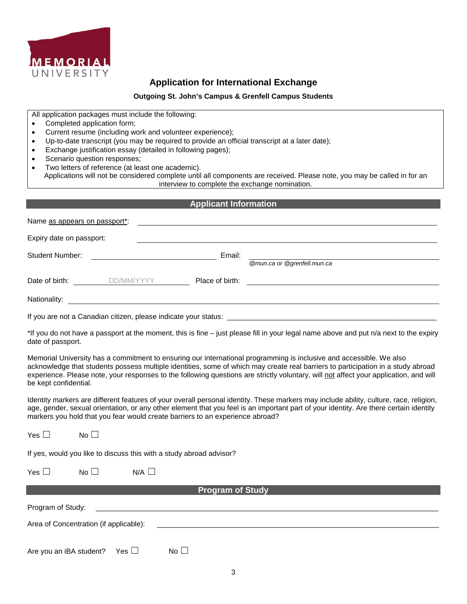

# **Application for International Exchange**

#### **Outgoing St. John's Campus & Grenfell Campus Students**

All application packages must include the following:

- Completed application form;
- Current resume (including work and volunteer experience);
- Up-to-date transcript (you may be required to provide an official transcript at a later date);
- Exchange justification essay (detailed in following pages);
- Scenario question responses;
- Two letters of reference (at least one academic).

Applications will not be considered complete until all components are received. Please note, you may be called in for an interview to complete the exchange nomination.

#### **Applicant Information**

| Name as appears on passport*: |                                                                 |                 |                                                                                                                      |
|-------------------------------|-----------------------------------------------------------------|-----------------|----------------------------------------------------------------------------------------------------------------------|
| Expiry date on passport:      |                                                                 |                 |                                                                                                                      |
| Student Number:               |                                                                 | Email:          | @mun.ca or @grenfell.mun.ca                                                                                          |
| Date of birth:                | DD/MM/YYYY                                                      | Place of birth: | <u> 1980 - Jan Stein Stein Stein Stein Stein Stein Stein Stein Stein Stein Stein Stein Stein Stein Stein Stein S</u> |
| Nationality:                  |                                                                 |                 |                                                                                                                      |
|                               | If you are not a Canadian citizen, please indicate your status: |                 |                                                                                                                      |

\*If you do not have a passport at the moment, this is fine – just please fill in your legal name above and put n/a next to the expiry date of passport.

Memorial University has a commitment to ensuring our international programming is inclusive and accessible. We also acknowledge that students possess multiple identities, some of which may create real barriers to participation in a study abroad experience. Please note, your responses to the following questions are strictly voluntary, will not affect your application, and will be kept confidential.

Identity markers are different features of your overall personal identity. These markers may include ability, culture, race, religion, age, gender, sexual orientation, or any other element that you feel is an important part of your identity. Are there certain identity markers you hold that you fear would create barriers to an experience abroad?

 $Yes \Box$  No  $\Box$ 

If yes, would you like to discuss this with a study abroad advisor?

| Yes $\Box$ | No $\square$ | $N/A$ $\square$ |
|------------|--------------|-----------------|
|            |              |                 |

## **Program of Study**

| Program of Study:                      |      |  |  |
|----------------------------------------|------|--|--|
| Area of Concentration (if applicable): |      |  |  |
| Are you an iBA student? Yes $\Box$     | No L |  |  |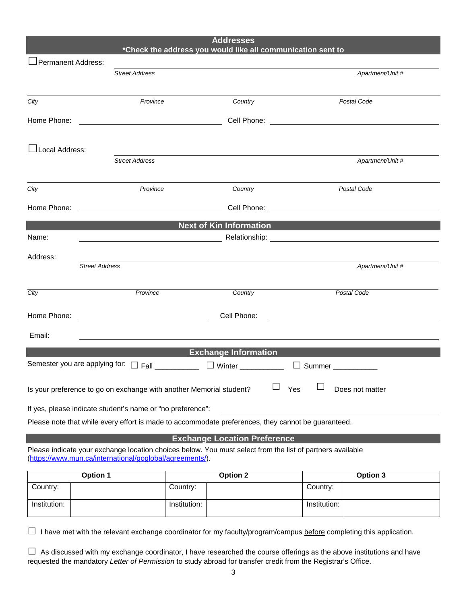| <b>Addresses</b><br>*Check the address you would like all communication sent to                           |                       |                                                                     |                                     |                  |
|-----------------------------------------------------------------------------------------------------------|-----------------------|---------------------------------------------------------------------|-------------------------------------|------------------|
| Permanent Address:                                                                                        |                       |                                                                     |                                     |                  |
|                                                                                                           |                       | <b>Street Address</b>                                               |                                     | Apartment/Unit # |
| City                                                                                                      |                       | Province                                                            | Country                             | Postal Code      |
| Home Phone:                                                                                               |                       | <u> 1980 - Johann Barbara, martxa amerikan personal (h. 1980).</u>  |                                     |                  |
| ⊥Local Address:                                                                                           |                       |                                                                     |                                     |                  |
|                                                                                                           |                       | <b>Street Address</b>                                               |                                     | Apartment/Unit # |
| City                                                                                                      |                       | Province                                                            | Country                             | Postal Code      |
| Home Phone:                                                                                               |                       |                                                                     |                                     |                  |
|                                                                                                           |                       |                                                                     | <b>Next of Kin Information</b>      |                  |
| Name:                                                                                                     |                       | <u> 1989 - Johann Barbara, martin d</u>                             |                                     |                  |
| Address:                                                                                                  |                       |                                                                     |                                     |                  |
|                                                                                                           | <b>Street Address</b> |                                                                     |                                     | Apartment/Unit # |
| City                                                                                                      |                       | Province                                                            | Country                             | Postal Code      |
| Home Phone:                                                                                               |                       | Cell Phone:                                                         |                                     |                  |
| Email:                                                                                                    |                       |                                                                     |                                     |                  |
| <b>Exchange Information</b>                                                                               |                       |                                                                     |                                     |                  |
| Semester you are applying for:                                                                            |                       | $\Box$ Fall $\Box$                                                  | $\Box$ Winter                       | Summer           |
|                                                                                                           |                       | Is your preference to go on exchange with another Memorial student? | Yes                                 | Does not matter  |
| If yes, please indicate student's name or "no preference":                                                |                       |                                                                     |                                     |                  |
| Please note that while every effort is made to accommodate preferences, they cannot be guaranteed.        |                       |                                                                     |                                     |                  |
|                                                                                                           |                       |                                                                     | <b>Exchange Location Preference</b> |                  |
| Please indicate your exchange location choices below. You must select from the list of partners available |                       |                                                                     |                                     |                  |

[\(https://www.mun.ca/international/goglobal/agreements/\)](about:blank).

| <b>Option 1</b> | <b>Option 2</b> | Option 3     |
|-----------------|-----------------|--------------|
| Country:        | Country:        | Country:     |
| Institution:    | Institution:    | Institution: |

□ I have met with the relevant exchange coordinator for my faculty/program/campus before completing this application.

□ As discussed with my exchange coordinator, I have researched the course offerings as the above institutions and have requested the mandatory *Letter of Permission* to study abroad for transfer credit from the Registrar's Office.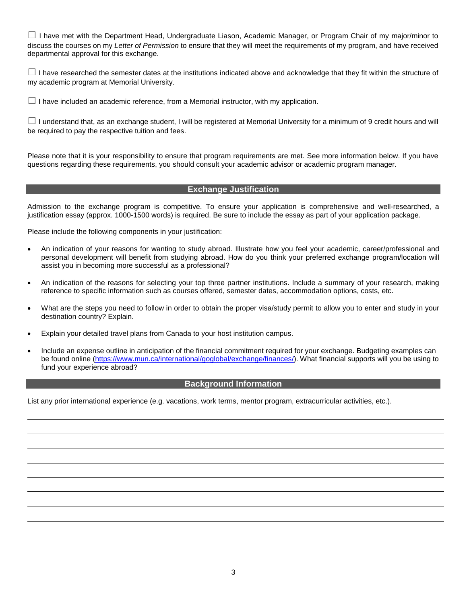☐ I have met with the Department Head, Undergraduate Liason, Academic Manager, or Program Chair of my major/minor to discuss the courses on my *Letter of Permission* to ensure that they will meet the requirements of my program, and have received departmental approval for this exchange.

 $\Box$  I have researched the semester dates at the institutions indicated above and acknowledge that they fit within the structure of my academic program at Memorial University.

 $\Box$  I have included an academic reference, from a Memorial instructor, with my application.

 $\Box$  I understand that, as an exchange student, I will be registered at Memorial University for a minimum of 9 credit hours and will be required to pay the respective tuition and fees.

Please note that it is your responsibility to ensure that program requirements are met. See more information below. If you have questions regarding these requirements, you should consult your academic advisor or academic program manager.

### **Exchange Justification**

Admission to the exchange program is competitive. To ensure your application is comprehensive and well-researched, a justification essay (approx. 1000-1500 words) is required. Be sure to include the essay as part of your application package.

Please include the following components in your justification:

- An indication of your reasons for wanting to study abroad. Illustrate how you feel your academic, career/professional and personal development will benefit from studying abroad. How do you think your preferred exchange program/location will assist you in becoming more successful as a professional?
- An indication of the reasons for selecting your top three partner institutions. Include a summary of your research, making reference to specific information such as courses offered, semester dates, accommodation options, costs, etc.
- What are the steps you need to follow in order to obtain the proper visa/study permit to allow you to enter and study in your destination country? Explain.
- Explain your detailed travel plans from Canada to your host institution campus.
- Include an expense outline in anticipation of the financial commitment required for your exchange. Budgeting examples can be found online [\(https://www.mun.ca/international/goglobal/exchange/finances/\)](about:blank). What financial supports will you be using to fund your experience abroad?

#### **Background Information**

List any prior international experience (e.g. vacations, work terms, mentor program, extracurricular activities, etc.).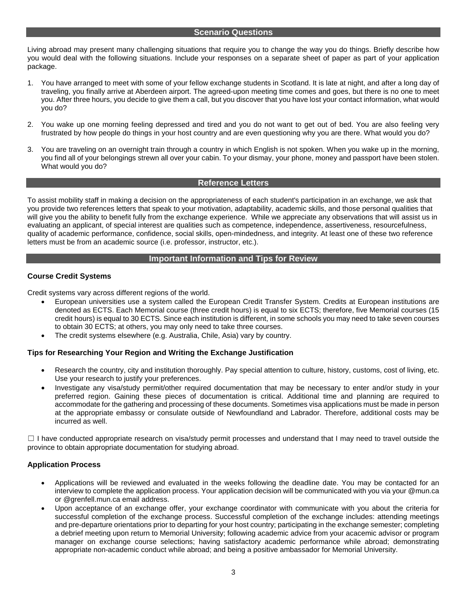#### **Scenario Questions**

Living abroad may present many challenging situations that require you to change the way you do things. Briefly describe how you would deal with the following situations. Include your responses on a separate sheet of paper as part of your application package.

- 1. You have arranged to meet with some of your fellow exchange students in Scotland. It is late at night, and after a long day of traveling, you finally arrive at Aberdeen airport. The agreed-upon meeting time comes and goes, but there is no one to meet you. After three hours, you decide to give them a call, but you discover that you have lost your contact information, what would you do?
- 2. You wake up one morning feeling depressed and tired and you do not want to get out of bed. You are also feeling very frustrated by how people do things in your host country and are even questioning why you are there. What would you do?
- 3. You are traveling on an overnight train through a country in which English is not spoken. When you wake up in the morning, you find all of your belongings strewn all over your cabin. To your dismay, your phone, money and passport have been stolen. What would you do?

### **Reference Letters**

To assist mobility staff in making a decision on the appropriateness of each student's participation in an exchange, we ask that you provide two references letters that speak to your motivation, adaptability, academic skills, and those personal qualities that will give you the ability to benefit fully from the exchange experience. While we appreciate any observations that will assist us in evaluating an applicant, of special interest are qualities such as competence, independence, assertiveness, resourcefulness, quality of academic performance, confidence, social skills, open-mindedness, and integrity. At least one of these two reference letters must be from an academic source (i.e. professor, instructor, etc.).

## **Important Information and Tips for Review**

## **Course Credit Systems**

Credit systems vary across different regions of the world.

- European universities use a system called the European Credit Transfer System. Credits at European institutions are denoted as ECTS. Each Memorial course (three credit hours) is equal to six ECTS; therefore, five Memorial courses (15 credit hours) is equal to 30 ECTS. Since each institution is different, in some schools you may need to take seven courses to obtain 30 ECTS; at others, you may only need to take three courses.
- The credit systems elsewhere (e.g. Australia, Chile, Asia) vary by country.

### **Tips for Researching Your Region and Writing the Exchange Justification**

- Research the country, city and institution thoroughly. Pay special attention to culture, history, customs, cost of living, etc. Use your research to justify your preferences.
- Investigate any visa/study permit/other required documentation that may be necessary to enter and/or study in your preferred region. Gaining these pieces of documentation is critical. Additional time and planning are required to accommodate for the gathering and processing of these documents. Sometimes visa applications must be made in person at the appropriate embassy or consulate outside of Newfoundland and Labrador. Therefore, additional costs may be incurred as well.

 $\Box$  I have conducted appropriate research on visa/study permit processes and understand that I may need to travel outside the province to obtain appropriate documentation for studying abroad.

### **Application Process**

- Applications will be reviewed and evaluated in the weeks following the deadline date. You may be contacted for an interview to complete the application process. Your application decision will be communicated with you via your @mun.ca or @grenfell.mun.ca email address.
- Upon acceptance of an exchange offer, your exchange coordinator with communicate with you about the criteria for successful completion of the exchange process. Successful completion of the exchange includes: attending meetings and pre-departure orientations prior to departing for your host country; participating in the exchange semester; completing a debrief meeting upon return to Memorial University; following academic advice from your acacemic advisor or program manager on exchange course selections; having satisfactory academic performance while abroad; demonstrating appropriate non-academic conduct while abroad; and being a positive ambassador for Memorial University.